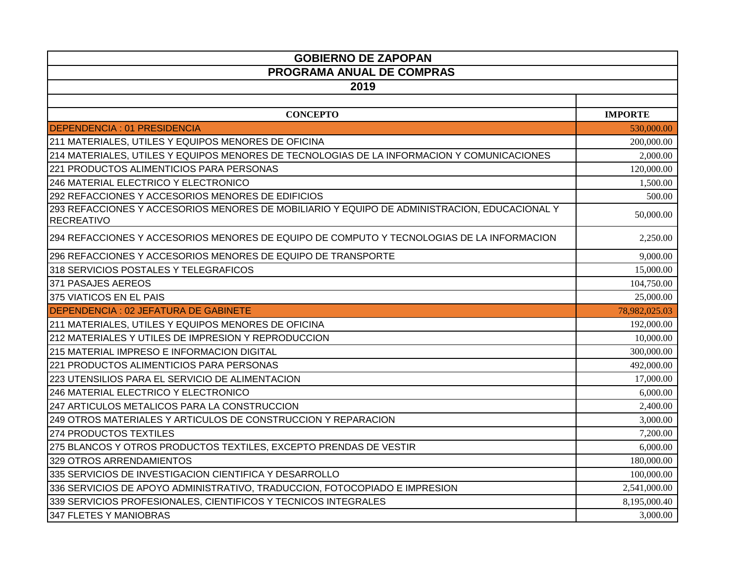| <b>GOBIERNO DE ZAPOPAN</b>                                                                                        |                |  |
|-------------------------------------------------------------------------------------------------------------------|----------------|--|
| PROGRAMA ANUAL DE COMPRAS                                                                                         |                |  |
| 2019                                                                                                              |                |  |
|                                                                                                                   |                |  |
| <b>CONCEPTO</b>                                                                                                   | <b>IMPORTE</b> |  |
| <b>DEPENDENCIA: 01 PRESIDENCIA</b>                                                                                | 530,000.00     |  |
| 211 MATERIALES, UTILES Y EQUIPOS MENORES DE OFICINA                                                               | 200,000.00     |  |
| 214 MATERIALES, UTILES Y EQUIPOS MENORES DE TECNOLOGIAS DE LA INFORMACION Y COMUNICACIONES                        | 2,000.00       |  |
| 221 PRODUCTOS ALIMENTICIOS PARA PERSONAS                                                                          | 120,000.00     |  |
| 246 MATERIAL ELECTRICO Y ELECTRONICO                                                                              | 1,500.00       |  |
| 292 REFACCIONES Y ACCESORIOS MENORES DE EDIFICIOS                                                                 | 500.00         |  |
| 293 REFACCIONES Y ACCESORIOS MENORES DE MOBILIARIO Y EQUIPO DE ADMINISTRACION, EDUCACIONAL Y<br><b>RECREATIVO</b> | 50,000.00      |  |
| 294 REFACCIONES Y ACCESORIOS MENORES DE EQUIPO DE COMPUTO Y TECNOLOGIAS DE LA INFORMACION                         | 2,250.00       |  |
| 296 REFACCIONES Y ACCESORIOS MENORES DE EQUIPO DE TRANSPORTE                                                      | 9,000.00       |  |
| 318 SERVICIOS POSTALES Y TELEGRAFICOS                                                                             | 15,000.00      |  |
| 371 PASAJES AEREOS                                                                                                | 104,750.00     |  |
| 375 VIATICOS EN EL PAIS                                                                                           | 25,000.00      |  |
| DEPENDENCIA : 02 JEFATURA DE GABINETE                                                                             | 78,982,025.03  |  |
| 211 MATERIALES, UTILES Y EQUIPOS MENORES DE OFICINA                                                               | 192,000.00     |  |
| 212 MATERIALES Y UTILES DE IMPRESION Y REPRODUCCION                                                               | 10,000.00      |  |
| 215 MATERIAL IMPRESO E INFORMACION DIGITAL                                                                        | 300,000.00     |  |
| 221 PRODUCTOS ALIMENTICIOS PARA PERSONAS                                                                          | 492,000.00     |  |
| 223 UTENSILIOS PARA EL SERVICIO DE ALIMENTACION                                                                   | 17,000.00      |  |
| 246 MATERIAL ELECTRICO Y ELECTRONICO                                                                              | 6,000.00       |  |
| 247 ARTICULOS METALICOS PARA LA CONSTRUCCION                                                                      | 2,400.00       |  |
| 249 OTROS MATERIALES Y ARTICULOS DE CONSTRUCCION Y REPARACION                                                     | 3,000.00       |  |
| 274 PRODUCTOS TEXTILES                                                                                            | 7,200.00       |  |
| 275 BLANCOS Y OTROS PRODUCTOS TEXTILES, EXCEPTO PRENDAS DE VESTIR                                                 | 6,000.00       |  |
| 329 OTROS ARRENDAMIENTOS                                                                                          | 180,000.00     |  |
| 335 SERVICIOS DE INVESTIGACION CIENTIFICA Y DESARROLLO                                                            | 100,000.00     |  |
| 336 SERVICIOS DE APOYO ADMINISTRATIVO, TRADUCCION, FOTOCOPIADO E IMPRESION                                        | 2,541,000.00   |  |
| 339 SERVICIOS PROFESIONALES, CIENTIFICOS Y TECNICOS INTEGRALES                                                    | 8,195,000.40   |  |
| 347 FLETES Y MANIOBRAS                                                                                            | 3,000.00       |  |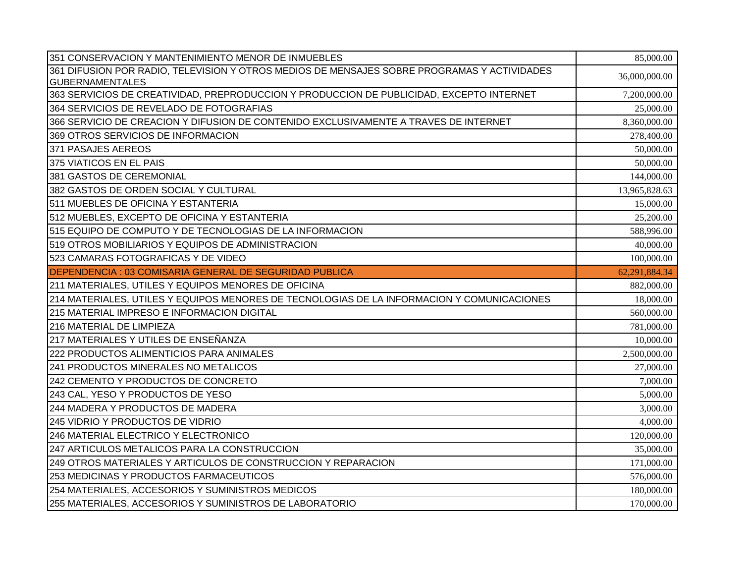| 351 CONSERVACION Y MANTENIMIENTO MENOR DE INMUEBLES                                         | 85,000.00     |
|---------------------------------------------------------------------------------------------|---------------|
| 361 DIFUSION POR RADIO, TELEVISION Y OTROS MEDIOS DE MENSAJES SOBRE PROGRAMAS Y ACTIVIDADES | 36,000,000.00 |
| <b>GUBERNAMENTALES</b>                                                                      |               |
| 363 SERVICIOS DE CREATIVIDAD, PREPRODUCCION Y PRODUCCION DE PUBLICIDAD, EXCEPTO INTERNET    | 7,200,000.00  |
| 364 SERVICIOS DE REVELADO DE FOTOGRAFIAS                                                    | 25,000.00     |
| 366 SERVICIO DE CREACION Y DIFUSION DE CONTENIDO EXCLUSIVAMENTE A TRAVES DE INTERNET        | 8,360,000.00  |
| 369 OTROS SERVICIOS DE INFORMACION                                                          | 278,400.00    |
| 371 PASAJES AEREOS                                                                          | 50,000.00     |
| 375 VIATICOS EN EL PAIS                                                                     | 50,000.00     |
| 381 GASTOS DE CEREMONIAL                                                                    | 144,000.00    |
| 382 GASTOS DE ORDEN SOCIAL Y CULTURAL                                                       | 13,965,828.63 |
| 511 MUEBLES DE OFICINA Y ESTANTERIA                                                         | 15,000.00     |
| 512 MUEBLES, EXCEPTO DE OFICINA Y ESTANTERIA                                                | 25,200.00     |
| 515 EQUIPO DE COMPUTO Y DE TECNOLOGIAS DE LA INFORMACION                                    | 588,996.00    |
| 519 OTROS MOBILIARIOS Y EQUIPOS DE ADMINISTRACION                                           | 40,000.00     |
| 523 CAMARAS FOTOGRAFICAS Y DE VIDEO                                                         | 100,000.00    |
| DEPENDENCIA : 03 COMISARIA GENERAL DE SEGURIDAD PUBLICA                                     | 62,291,884.34 |
| 211 MATERIALES, UTILES Y EQUIPOS MENORES DE OFICINA                                         | 882,000.00    |
| 214 MATERIALES, UTILES Y EQUIPOS MENORES DE TECNOLOGIAS DE LA INFORMACION Y COMUNICACIONES  | 18,000.00     |
| 215 MATERIAL IMPRESO E INFORMACION DIGITAL                                                  | 560,000.00    |
| 216 MATERIAL DE LIMPIEZA                                                                    | 781,000.00    |
| 217 MATERIALES Y UTILES DE ENSEÑANZA                                                        | 10,000.00     |
| 222 PRODUCTOS ALIMENTICIOS PARA ANIMALES                                                    | 2,500,000.00  |
| 241 PRODUCTOS MINERALES NO METALICOS                                                        | 27,000.00     |
| 242 CEMENTO Y PRODUCTOS DE CONCRETO                                                         | 7,000.00      |
| 243 CAL, YESO Y PRODUCTOS DE YESO                                                           | 5,000.00      |
| 244 MADERA Y PRODUCTOS DE MADERA                                                            | 3,000.00      |
| 245 VIDRIO Y PRODUCTOS DE VIDRIO                                                            | 4,000.00      |
| 246 MATERIAL ELECTRICO Y ELECTRONICO                                                        | 120,000.00    |
| 247 ARTICULOS METALICOS PARA LA CONSTRUCCION                                                | 35,000.00     |
| 249 OTROS MATERIALES Y ARTICULOS DE CONSTRUCCION Y REPARACION                               | 171,000.00    |
| 253 MEDICINAS Y PRODUCTOS FARMACEUTICOS                                                     | 576,000.00    |
| 254 MATERIALES, ACCESORIOS Y SUMINISTROS MEDICOS                                            | 180,000.00    |
| 255 MATERIALES, ACCESORIOS Y SUMINISTROS DE LABORATORIO                                     | 170,000.00    |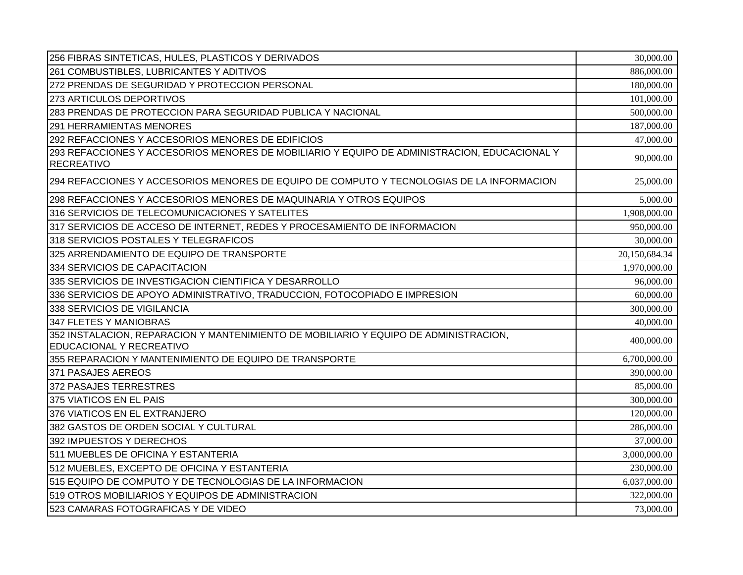| 256 FIBRAS SINTETICAS, HULES, PLASTICOS Y DERIVADOS                                                                      | 30,000.00     |
|--------------------------------------------------------------------------------------------------------------------------|---------------|
| 261 COMBUSTIBLES, LUBRICANTES Y ADITIVOS                                                                                 | 886,000.00    |
| 272 PRENDAS DE SEGURIDAD Y PROTECCION PERSONAL                                                                           | 180,000.00    |
| 273 ARTICULOS DEPORTIVOS                                                                                                 | 101,000.00    |
| 283 PRENDAS DE PROTECCION PARA SEGURIDAD PUBLICA Y NACIONAL                                                              | 500,000.00    |
| <b>291 HERRAMIENTAS MENORES</b>                                                                                          | 187,000.00    |
| 292 REFACCIONES Y ACCESORIOS MENORES DE EDIFICIOS                                                                        | 47,000.00     |
| 293 REFACCIONES Y ACCESORIOS MENORES DE MOBILIARIO Y EQUIPO DE ADMINISTRACION, EDUCACIONAL Y<br><b>RECREATIVO</b>        | 90,000.00     |
| 294 REFACCIONES Y ACCESORIOS MENORES DE EQUIPO DE COMPUTO Y TECNOLOGIAS DE LA INFORMACION                                | 25,000.00     |
| 298 REFACCIONES Y ACCESORIOS MENORES DE MAQUINARIA Y OTROS EQUIPOS                                                       | 5,000.00      |
| 316 SERVICIOS DE TELECOMUNICACIONES Y SATELITES                                                                          | 1,908,000.00  |
| 317 SERVICIOS DE ACCESO DE INTERNET, REDES Y PROCESAMIENTO DE INFORMACION                                                | 950,000.00    |
| 318 SERVICIOS POSTALES Y TELEGRAFICOS                                                                                    | 30,000.00     |
| 325 ARRENDAMIENTO DE EQUIPO DE TRANSPORTE                                                                                | 20,150,684.34 |
| 334 SERVICIOS DE CAPACITACION                                                                                            | 1,970,000.00  |
| 335 SERVICIOS DE INVESTIGACION CIENTIFICA Y DESARROLLO                                                                   | 96,000.00     |
| 336 SERVICIOS DE APOYO ADMINISTRATIVO, TRADUCCION, FOTOCOPIADO E IMPRESION                                               | 60,000.00     |
| 338 SERVICIOS DE VIGILANCIA                                                                                              | 300,000.00    |
| 347 FLETES Y MANIOBRAS                                                                                                   | 40,000.00     |
| 352 INSTALACION, REPARACION Y MANTENIMIENTO DE MOBILIARIO Y EQUIPO DE ADMINISTRACION,<br><b>EDUCACIONAL Y RECREATIVO</b> | 400,000.00    |
| 355 REPARACION Y MANTENIMIENTO DE EQUIPO DE TRANSPORTE                                                                   | 6,700,000.00  |
| 371 PASAJES AEREOS                                                                                                       | 390,000.00    |
| 372 PASAJES TERRESTRES                                                                                                   | 85,000.00     |
| 375 VIATICOS EN EL PAIS                                                                                                  | 300,000.00    |
| 376 VIATICOS EN EL EXTRANJERO                                                                                            | 120,000.00    |
| 382 GASTOS DE ORDEN SOCIAL Y CULTURAL                                                                                    | 286,000.00    |
| 392 IMPUESTOS Y DERECHOS                                                                                                 | 37,000.00     |
| 511 MUEBLES DE OFICINA Y ESTANTERIA                                                                                      | 3,000,000.00  |
| 512 MUEBLES, EXCEPTO DE OFICINA Y ESTANTERIA                                                                             | 230,000.00    |
| 515 EQUIPO DE COMPUTO Y DE TECNOLOGIAS DE LA INFORMACION                                                                 | 6,037,000.00  |
| 519 OTROS MOBILIARIOS Y EQUIPOS DE ADMINISTRACION                                                                        | 322,000.00    |
| 523 CAMARAS FOTOGRAFICAS Y DE VIDEO                                                                                      | 73,000.00     |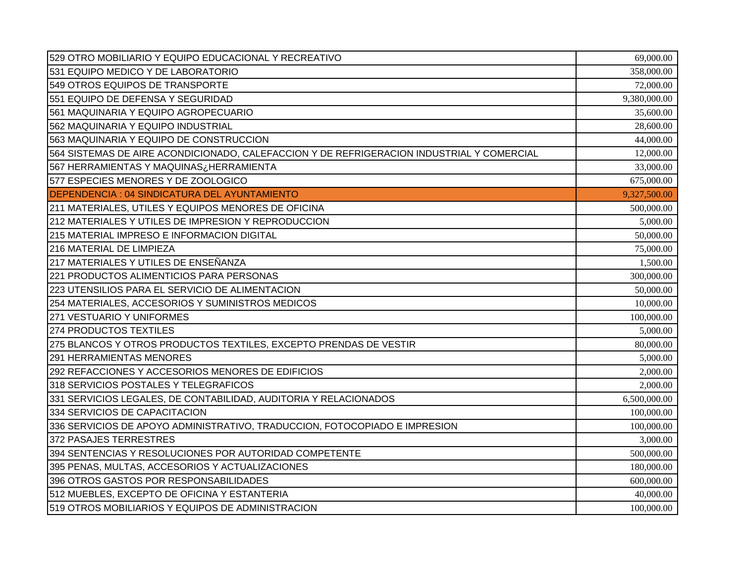| 529 OTRO MOBILIARIO Y EQUIPO EDUCACIONAL Y RECREATIVO                                     | 69,000.00    |
|-------------------------------------------------------------------------------------------|--------------|
| 531 EQUIPO MEDICO Y DE LABORATORIO                                                        | 358,000.00   |
| 549 OTROS EQUIPOS DE TRANSPORTE                                                           | 72,000.00    |
| 551 EQUIPO DE DEFENSA Y SEGURIDAD                                                         | 9,380,000.00 |
| 561 MAQUINARIA Y EQUIPO AGROPECUARIO                                                      | 35,600.00    |
| 562 MAQUINARIA Y EQUIPO INDUSTRIAL                                                        | 28,600.00    |
| 563 MAQUINARIA Y EQUIPO DE CONSTRUCCION                                                   | 44,000.00    |
| 564 SISTEMAS DE AIRE ACONDICIONADO, CALEFACCION Y DE REFRIGERACION INDUSTRIAL Y COMERCIAL | 12,000.00    |
| 567 HERRAMIENTAS Y MAQUINAS¿HERRAMIENTA                                                   | 33,000.00    |
| 577 ESPECIES MENORES Y DE ZOOLOGICO                                                       | 675,000.00   |
| <b>DEPENDENCIA: 04 SINDICATURA DEL AYUNTAMIENTO</b>                                       | 9,327,500.00 |
| 211 MATERIALES, UTILES Y EQUIPOS MENORES DE OFICINA                                       | 500,000.00   |
| 212 MATERIALES Y UTILES DE IMPRESION Y REPRODUCCION                                       | 5,000.00     |
| 215 MATERIAL IMPRESO E INFORMACION DIGITAL                                                | 50,000.00    |
| 216 MATERIAL DE LIMPIEZA                                                                  | 75,000.00    |
| 217 MATERIALES Y UTILES DE ENSEÑANZA                                                      | 1,500.00     |
| 221 PRODUCTOS ALIMENTICIOS PARA PERSONAS                                                  | 300,000.00   |
| 223 UTENSILIOS PARA EL SERVICIO DE ALIMENTACION                                           | 50,000.00    |
| 254 MATERIALES, ACCESORIOS Y SUMINISTROS MEDICOS                                          | 10,000.00    |
| 271 VESTUARIO Y UNIFORMES                                                                 | 100,000.00   |
| 274 PRODUCTOS TEXTILES                                                                    | 5,000.00     |
| 275 BLANCOS Y OTROS PRODUCTOS TEXTILES, EXCEPTO PRENDAS DE VESTIR                         | 80,000.00    |
| 291 HERRAMIENTAS MENORES                                                                  | 5,000.00     |
| 292 REFACCIONES Y ACCESORIOS MENORES DE EDIFICIOS                                         | 2,000.00     |
| 318 SERVICIOS POSTALES Y TELEGRAFICOS                                                     | 2,000.00     |
| 331 SERVICIOS LEGALES, DE CONTABILIDAD, AUDITORIA Y RELACIONADOS                          | 6,500,000.00 |
| 334 SERVICIOS DE CAPACITACION                                                             | 100,000.00   |
| 336 SERVICIOS DE APOYO ADMINISTRATIVO, TRADUCCION, FOTOCOPIADO E IMPRESION                | 100,000.00   |
| 372 PASAJES TERRESTRES                                                                    | 3,000.00     |
| 394 SENTENCIAS Y RESOLUCIONES POR AUTORIDAD COMPETENTE                                    | 500,000.00   |
| 395 PENAS, MULTAS, ACCESORIOS Y ACTUALIZACIONES                                           | 180,000.00   |
| 396 OTROS GASTOS POR RESPONSABILIDADES                                                    | 600,000.00   |
| 512 MUEBLES, EXCEPTO DE OFICINA Y ESTANTERIA                                              | 40,000.00    |
| 519 OTROS MOBILIARIOS Y EQUIPOS DE ADMINISTRACION                                         | 100,000.00   |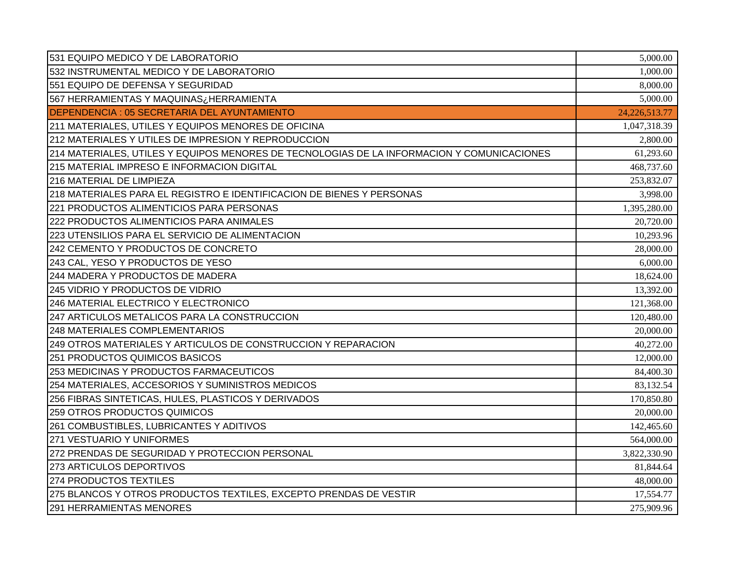| 531 EQUIPO MEDICO Y DE LABORATORIO                                                         | 5,000.00         |
|--------------------------------------------------------------------------------------------|------------------|
| 532 INSTRUMENTAL MEDICO Y DE LABORATORIO                                                   | 1,000.00         |
| 551 EQUIPO DE DEFENSA Y SEGURIDAD                                                          | 8,000.00         |
| 567 HERRAMIENTAS Y MAQUINAS¿HERRAMIENTA                                                    | 5,000.00         |
| DEPENDENCIA: 05 SECRETARIA DEL AYUNTAMIENTO                                                | 24, 226, 513. 77 |
| 211 MATERIALES, UTILES Y EQUIPOS MENORES DE OFICINA                                        | 1,047,318.39     |
| 212 MATERIALES Y UTILES DE IMPRESION Y REPRODUCCION                                        | 2,800.00         |
| 214 MATERIALES, UTILES Y EQUIPOS MENORES DE TECNOLOGIAS DE LA INFORMACION Y COMUNICACIONES | 61,293.60        |
| 215 MATERIAL IMPRESO E INFORMACION DIGITAL                                                 | 468,737.60       |
| 216 MATERIAL DE LIMPIEZA                                                                   | 253,832.07       |
| 218 MATERIALES PARA EL REGISTRO E IDENTIFICACION DE BIENES Y PERSONAS                      | 3,998.00         |
| 221 PRODUCTOS ALIMENTICIOS PARA PERSONAS                                                   | 1,395,280.00     |
| 222 PRODUCTOS ALIMENTICIOS PARA ANIMALES                                                   | 20,720.00        |
| 223 UTENSILIOS PARA EL SERVICIO DE ALIMENTACION                                            | 10,293.96        |
| 242 CEMENTO Y PRODUCTOS DE CONCRETO                                                        | 28,000.00        |
| 243 CAL, YESO Y PRODUCTOS DE YESO                                                          | 6,000.00         |
| 244 MADERA Y PRODUCTOS DE MADERA                                                           | 18,624.00        |
| 245 VIDRIO Y PRODUCTOS DE VIDRIO                                                           | 13,392.00        |
| 246 MATERIAL ELECTRICO Y ELECTRONICO                                                       | 121,368.00       |
| 247 ARTICULOS METALICOS PARA LA CONSTRUCCION                                               | 120,480.00       |
| 248 MATERIALES COMPLEMENTARIOS                                                             | 20,000.00        |
| 249 OTROS MATERIALES Y ARTICULOS DE CONSTRUCCION Y REPARACION                              | 40,272.00        |
| 251 PRODUCTOS QUIMICOS BASICOS                                                             | 12,000.00        |
| 253 MEDICINAS Y PRODUCTOS FARMACEUTICOS                                                    | 84,400.30        |
| 254 MATERIALES, ACCESORIOS Y SUMINISTROS MEDICOS                                           | 83,132.54        |
| 256 FIBRAS SINTETICAS, HULES, PLASTICOS Y DERIVADOS                                        | 170,850.80       |
| 259 OTROS PRODUCTOS QUIMICOS                                                               | 20,000.00        |
| 261 COMBUSTIBLES, LUBRICANTES Y ADITIVOS                                                   | 142,465.60       |
| 271 VESTUARIO Y UNIFORMES                                                                  | 564,000.00       |
| 272 PRENDAS DE SEGURIDAD Y PROTECCION PERSONAL                                             | 3,822,330.90     |
| 273 ARTICULOS DEPORTIVOS                                                                   | 81,844.64        |
| 274 PRODUCTOS TEXTILES                                                                     | 48,000.00        |
| 275 BLANCOS Y OTROS PRODUCTOS TEXTILES, EXCEPTO PRENDAS DE VESTIR                          | 17,554.77        |
| <b>291 HERRAMIENTAS MENORES</b>                                                            | 275,909.96       |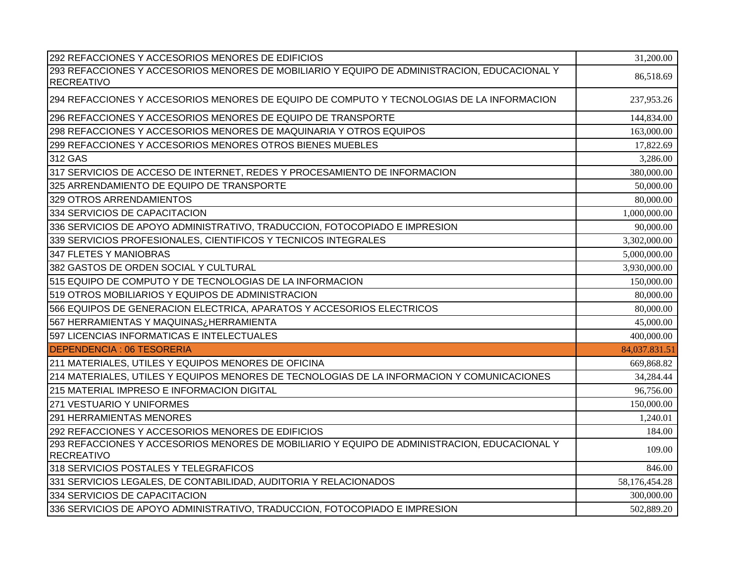| 292 REFACCIONES Y ACCESORIOS MENORES DE EDIFICIOS                                                                 | 31,200.00     |
|-------------------------------------------------------------------------------------------------------------------|---------------|
| 293 REFACCIONES Y ACCESORIOS MENORES DE MOBILIARIO Y EQUIPO DE ADMINISTRACION, EDUCACIONAL Y<br><b>RECREATIVO</b> | 86,518.69     |
| 294 REFACCIONES Y ACCESORIOS MENORES DE EQUIPO DE COMPUTO Y TECNOLOGIAS DE LA INFORMACION                         | 237,953.26    |
| 296 REFACCIONES Y ACCESORIOS MENORES DE EQUIPO DE TRANSPORTE                                                      | 144,834.00    |
| 298 REFACCIONES Y ACCESORIOS MENORES DE MAQUINARIA Y OTROS EQUIPOS                                                | 163,000.00    |
| 299 REFACCIONES Y ACCESORIOS MENORES OTROS BIENES MUEBLES                                                         | 17,822.69     |
| 312 GAS                                                                                                           | 3,286.00      |
| 317 SERVICIOS DE ACCESO DE INTERNET, REDES Y PROCESAMIENTO DE INFORMACION                                         | 380,000.00    |
| 325 ARRENDAMIENTO DE EQUIPO DE TRANSPORTE                                                                         | 50,000.00     |
| 329 OTROS ARRENDAMIENTOS                                                                                          | 80,000.00     |
| 334 SERVICIOS DE CAPACITACION                                                                                     | 1,000,000.00  |
| 336 SERVICIOS DE APOYO ADMINISTRATIVO, TRADUCCION, FOTOCOPIADO E IMPRESION                                        | 90,000.00     |
| 339 SERVICIOS PROFESIONALES, CIENTIFICOS Y TECNICOS INTEGRALES                                                    | 3,302,000.00  |
| 347 FLETES Y MANIOBRAS                                                                                            | 5,000,000.00  |
| 382 GASTOS DE ORDEN SOCIAL Y CULTURAL                                                                             | 3,930,000.00  |
| 515 EQUIPO DE COMPUTO Y DE TECNOLOGIAS DE LA INFORMACION                                                          | 150,000.00    |
| 519 OTROS MOBILIARIOS Y EQUIPOS DE ADMINISTRACION                                                                 | 80,000.00     |
| 566 EQUIPOS DE GENERACION ELECTRICA, APARATOS Y ACCESORIOS ELECTRICOS                                             | 80,000.00     |
| 567 HERRAMIENTAS Y MAQUINAS¿HERRAMIENTA                                                                           | 45,000.00     |
| 597 LICENCIAS INFORMATICAS E INTELECTUALES                                                                        | 400,000.00    |
| <b>DEPENDENCIA: 06 TESORERIA</b>                                                                                  | 84,037.831.51 |
| 211 MATERIALES, UTILES Y EQUIPOS MENORES DE OFICINA                                                               | 669,868.82    |
| 214 MATERIALES, UTILES Y EQUIPOS MENORES DE TECNOLOGIAS DE LA INFORMACION Y COMUNICACIONES                        | 34,284.44     |
| 215 MATERIAL IMPRESO E INFORMACION DIGITAL                                                                        | 96,756.00     |
| 271 VESTUARIO Y UNIFORMES                                                                                         | 150,000.00    |
| <b>291 HERRAMIENTAS MENORES</b>                                                                                   | 1,240.01      |
| 292 REFACCIONES Y ACCESORIOS MENORES DE EDIFICIOS                                                                 | 184.00        |
| 293 REFACCIONES Y ACCESORIOS MENORES DE MOBILIARIO Y EQUIPO DE ADMINISTRACION, EDUCACIONAL Y<br><b>RECREATIVO</b> | 109.00        |
| 318 SERVICIOS POSTALES Y TELEGRAFICOS                                                                             | 846.00        |
| 331 SERVICIOS LEGALES, DE CONTABILIDAD, AUDITORIA Y RELACIONADOS                                                  | 58,176,454.28 |
| 334 SERVICIOS DE CAPACITACION                                                                                     | 300,000.00    |
| 336 SERVICIOS DE APOYO ADMINISTRATIVO, TRADUCCION, FOTOCOPIADO E IMPRESION                                        | 502,889.20    |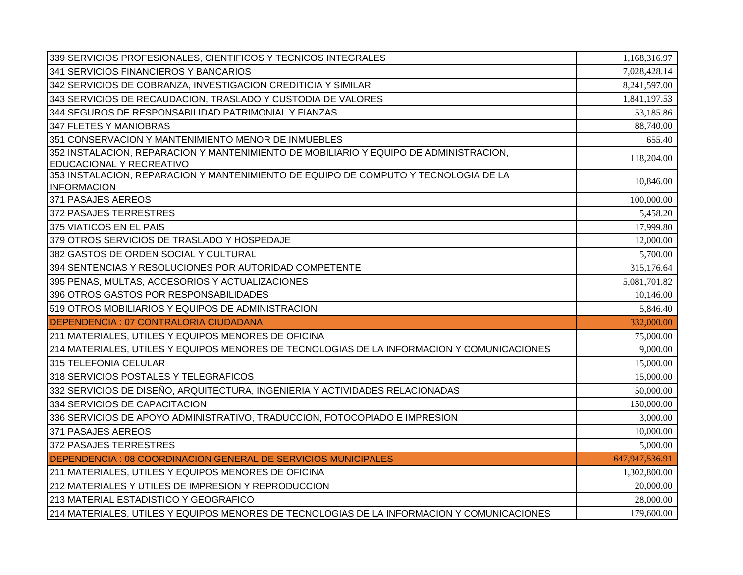| 339 SERVICIOS PROFESIONALES, CIENTIFICOS Y TECNICOS INTEGRALES                                            | 1,168,316.97   |
|-----------------------------------------------------------------------------------------------------------|----------------|
| 341 SERVICIOS FINANCIEROS Y BANCARIOS                                                                     | 7,028,428.14   |
| 342 SERVICIOS DE COBRANZA, INVESTIGACION CREDITICIA Y SIMILAR                                             | 8,241,597.00   |
| 343 SERVICIOS DE RECAUDACION, TRASLADO Y CUSTODIA DE VALORES                                              | 1,841,197.53   |
| 344 SEGUROS DE RESPONSABILIDAD PATRIMONIAL Y FIANZAS                                                      | 53,185.86      |
| 347 FLETES Y MANIOBRAS                                                                                    | 88,740.00      |
| 351 CONSERVACION Y MANTENIMIENTO MENOR DE INMUEBLES                                                       | 655.40         |
| 352 INSTALACION, REPARACION Y MANTENIMIENTO DE MOBILIARIO Y EQUIPO DE ADMINISTRACION,                     | 118,204.00     |
| EDUCACIONAL Y RECREATIVO                                                                                  |                |
| 353 INSTALACION, REPARACION Y MANTENIMIENTO DE EQUIPO DE COMPUTO Y TECNOLOGIA DE LA<br><b>INFORMACION</b> | 10,846.00      |
| 371 PASAJES AEREOS                                                                                        | 100,000.00     |
| 372 PASAJES TERRESTRES                                                                                    | 5,458.20       |
| 375 VIATICOS EN EL PAIS                                                                                   | 17,999.80      |
| 379 OTROS SERVICIOS DE TRASLADO Y HOSPEDAJE                                                               | 12,000.00      |
| 382 GASTOS DE ORDEN SOCIAL Y CULTURAL                                                                     | 5,700.00       |
| 394 SENTENCIAS Y RESOLUCIONES POR AUTORIDAD COMPETENTE                                                    | 315,176.64     |
| 395 PENAS, MULTAS, ACCESORIOS Y ACTUALIZACIONES                                                           | 5,081,701.82   |
| 396 OTROS GASTOS POR RESPONSABILIDADES                                                                    | 10,146.00      |
| 519 OTROS MOBILIARIOS Y EQUIPOS DE ADMINISTRACION                                                         | 5,846.40       |
| DEPENDENCIA: 07 CONTRALORIA CIUDADANA                                                                     | 332,000.00     |
| 211 MATERIALES, UTILES Y EQUIPOS MENORES DE OFICINA                                                       | 75,000.00      |
| 214 MATERIALES, UTILES Y EQUIPOS MENORES DE TECNOLOGIAS DE LA INFORMACION Y COMUNICACIONES                | 9,000.00       |
| 315 TELEFONIA CELULAR                                                                                     | 15,000.00      |
| 318 SERVICIOS POSTALES Y TELEGRAFICOS                                                                     | 15,000.00      |
| 332 SERVICIOS DE DISEÑO, ARQUITECTURA, INGENIERIA Y ACTIVIDADES RELACIONADAS                              | 50,000.00      |
| 334 SERVICIOS DE CAPACITACION                                                                             | 150,000.00     |
| 336 SERVICIOS DE APOYO ADMINISTRATIVO, TRADUCCION, FOTOCOPIADO E IMPRESION                                | 3,000.00       |
| 371 PASAJES AEREOS                                                                                        | 10,000.00      |
| 372 PASAJES TERRESTRES                                                                                    | 5,000.00       |
| DEPENDENCIA : 08 COORDINACION GENERAL DE SERVICIOS MUNICIPALES                                            | 647,947,536.91 |
| 211 MATERIALES, UTILES Y EQUIPOS MENORES DE OFICINA                                                       | 1,302,800.00   |
| 212 MATERIALES Y UTILES DE IMPRESION Y REPRODUCCION                                                       | 20,000.00      |
| 213 MATERIAL ESTADISTICO Y GEOGRAFICO                                                                     | 28,000.00      |
| 214 MATERIALES, UTILES Y EQUIPOS MENORES DE TECNOLOGIAS DE LA INFORMACION Y COMUNICACIONES                | 179,600.00     |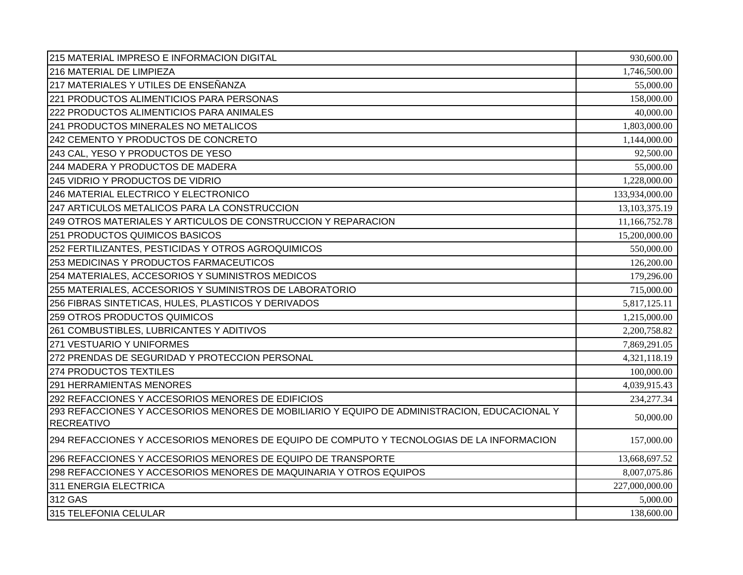| 215 MATERIAL IMPRESO E INFORMACION DIGITAL                                                                        | 930,600.00     |
|-------------------------------------------------------------------------------------------------------------------|----------------|
| 216 MATERIAL DE LIMPIEZA                                                                                          | 1,746,500.00   |
| 217 MATERIALES Y UTILES DE ENSEÑANZA                                                                              | 55,000.00      |
| 221 PRODUCTOS ALIMENTICIOS PARA PERSONAS                                                                          | 158,000.00     |
| 222 PRODUCTOS ALIMENTICIOS PARA ANIMALES                                                                          | 40,000.00      |
| 241 PRODUCTOS MINERALES NO METALICOS                                                                              | 1,803,000.00   |
| 242 CEMENTO Y PRODUCTOS DE CONCRETO                                                                               | 1,144,000.00   |
| 243 CAL, YESO Y PRODUCTOS DE YESO                                                                                 | 92,500.00      |
| 244 MADERA Y PRODUCTOS DE MADERA                                                                                  | 55,000.00      |
| 245 VIDRIO Y PRODUCTOS DE VIDRIO                                                                                  | 1,228,000.00   |
| 246 MATERIAL ELECTRICO Y ELECTRONICO                                                                              | 133,934,000.00 |
| 247 ARTICULOS METALICOS PARA LA CONSTRUCCION                                                                      | 13,103,375.19  |
| 249 OTROS MATERIALES Y ARTICULOS DE CONSTRUCCION Y REPARACION                                                     | 11,166,752.78  |
| 251 PRODUCTOS QUIMICOS BASICOS                                                                                    | 15,200,000.00  |
| 252 FERTILIZANTES, PESTICIDAS Y OTROS AGROQUIMICOS                                                                | 550,000.00     |
| 253 MEDICINAS Y PRODUCTOS FARMACEUTICOS                                                                           | 126,200.00     |
| 254 MATERIALES, ACCESORIOS Y SUMINISTROS MEDICOS                                                                  | 179,296.00     |
| 255 MATERIALES, ACCESORIOS Y SUMINISTROS DE LABORATORIO                                                           | 715,000.00     |
| 256 FIBRAS SINTETICAS, HULES, PLASTICOS Y DERIVADOS                                                               | 5,817,125.11   |
| 259 OTROS PRODUCTOS QUIMICOS                                                                                      | 1,215,000.00   |
| 261 COMBUSTIBLES, LUBRICANTES Y ADITIVOS                                                                          | 2,200,758.82   |
| 271 VESTUARIO Y UNIFORMES                                                                                         | 7,869,291.05   |
| 272 PRENDAS DE SEGURIDAD Y PROTECCION PERSONAL                                                                    | 4,321,118.19   |
| 274 PRODUCTOS TEXTILES                                                                                            | 100,000.00     |
| <b>291 HERRAMIENTAS MENORES</b>                                                                                   | 4,039,915.43   |
| 292 REFACCIONES Y ACCESORIOS MENORES DE EDIFICIOS                                                                 | 234, 277. 34   |
| 293 REFACCIONES Y ACCESORIOS MENORES DE MOBILIARIO Y EQUIPO DE ADMINISTRACION, EDUCACIONAL Y<br><b>RECREATIVO</b> | 50,000.00      |
| 294 REFACCIONES Y ACCESORIOS MENORES DE EQUIPO DE COMPUTO Y TECNOLOGIAS DE LA INFORMACION                         | 157,000.00     |
| 296 REFACCIONES Y ACCESORIOS MENORES DE EQUIPO DE TRANSPORTE                                                      | 13,668,697.52  |
| 298 REFACCIONES Y ACCESORIOS MENORES DE MAQUINARIA Y OTROS EQUIPOS                                                | 8,007,075.86   |
| 311 ENERGIA ELECTRICA                                                                                             | 227,000,000.00 |
| 312 GAS                                                                                                           | 5,000.00       |
| 315 TELEFONIA CELULAR                                                                                             | 138,600.00     |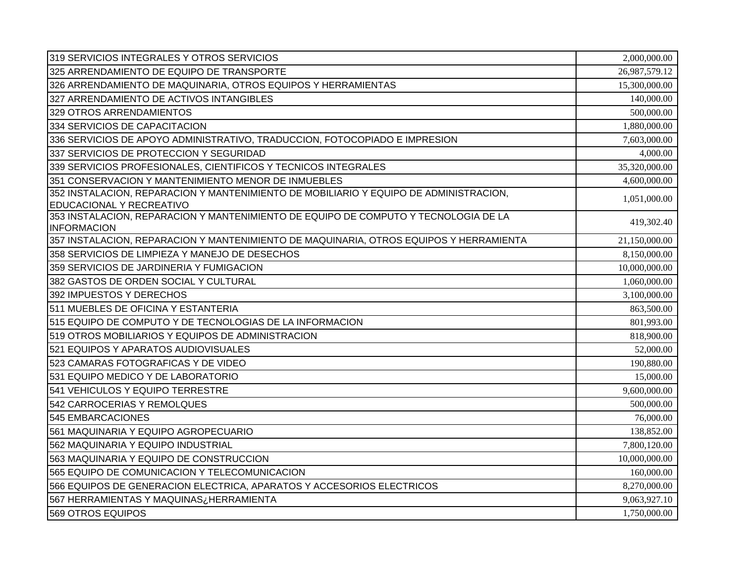| 319 SERVICIOS INTEGRALES Y OTROS SERVICIOS                                                                        | 2,000,000.00  |
|-------------------------------------------------------------------------------------------------------------------|---------------|
| 325 ARRENDAMIENTO DE EQUIPO DE TRANSPORTE                                                                         | 26,987,579.12 |
| 326 ARRENDAMIENTO DE MAQUINARIA, OTROS EQUIPOS Y HERRAMIENTAS                                                     | 15,300,000.00 |
| 327 ARRENDAMIENTO DE ACTIVOS INTANGIBLES                                                                          | 140,000.00    |
| 329 OTROS ARRENDAMIENTOS                                                                                          | 500,000.00    |
| 334 SERVICIOS DE CAPACITACION                                                                                     | 1,880,000.00  |
| 336 SERVICIOS DE APOYO ADMINISTRATIVO, TRADUCCION, FOTOCOPIADO E IMPRESION                                        | 7,603,000.00  |
| 337 SERVICIOS DE PROTECCION Y SEGURIDAD                                                                           | 4,000.00      |
| 339 SERVICIOS PROFESIONALES, CIENTIFICOS Y TECNICOS INTEGRALES                                                    | 35,320,000.00 |
| 351 CONSERVACION Y MANTENIMIENTO MENOR DE INMUEBLES                                                               | 4,600,000.00  |
| 352 INSTALACION, REPARACION Y MANTENIMIENTO DE MOBILIARIO Y EQUIPO DE ADMINISTRACION,<br>EDUCACIONAL Y RECREATIVO | 1,051,000.00  |
| 353 INSTALACION, REPARACION Y MANTENIMIENTO DE EQUIPO DE COMPUTO Y TECNOLOGIA DE LA<br><b>INFORMACION</b>         | 419,302.40    |
| 357 INSTALACION, REPARACION Y MANTENIMIENTO DE MAQUINARIA, OTROS EQUIPOS Y HERRAMIENTA                            | 21,150,000.00 |
| 358 SERVICIOS DE LIMPIEZA Y MANEJO DE DESECHOS                                                                    | 8,150,000.00  |
| 359 SERVICIOS DE JARDINERIA Y FUMIGACION                                                                          | 10,000,000.00 |
| 382 GASTOS DE ORDEN SOCIAL Y CULTURAL                                                                             | 1,060,000.00  |
| 392 IMPUESTOS Y DERECHOS                                                                                          | 3,100,000.00  |
| 511 MUEBLES DE OFICINA Y ESTANTERIA                                                                               | 863,500.00    |
| 515 EQUIPO DE COMPUTO Y DE TECNOLOGIAS DE LA INFORMACION                                                          | 801,993.00    |
| 519 OTROS MOBILIARIOS Y EQUIPOS DE ADMINISTRACION                                                                 | 818,900.00    |
| 521 EQUIPOS Y APARATOS AUDIOVISUALES                                                                              | 52,000.00     |
| 523 CAMARAS FOTOGRAFICAS Y DE VIDEO                                                                               | 190,880.00    |
| 531 EQUIPO MEDICO Y DE LABORATORIO                                                                                | 15,000.00     |
| 541 VEHICULOS Y EQUIPO TERRESTRE                                                                                  | 9,600,000.00  |
| 542 CARROCERIAS Y REMOLQUES                                                                                       | 500,000.00    |
| 545 EMBARCACIONES                                                                                                 | 76,000.00     |
| 561 MAQUINARIA Y EQUIPO AGROPECUARIO                                                                              | 138,852.00    |
| 562 MAQUINARIA Y EQUIPO INDUSTRIAL                                                                                | 7,800,120.00  |
| 563 MAQUINARIA Y EQUIPO DE CONSTRUCCION                                                                           | 10,000,000.00 |
| 565 EQUIPO DE COMUNICACION Y TELECOMUNICACION                                                                     | 160,000.00    |
| 566 EQUIPOS DE GENERACION ELECTRICA, APARATOS Y ACCESORIOS ELECTRICOS                                             | 8,270,000.00  |
| 567 HERRAMIENTAS Y MAQUINAS¿HERRAMIENTA                                                                           | 9,063,927.10  |
| 569 OTROS EQUIPOS                                                                                                 | 1,750,000.00  |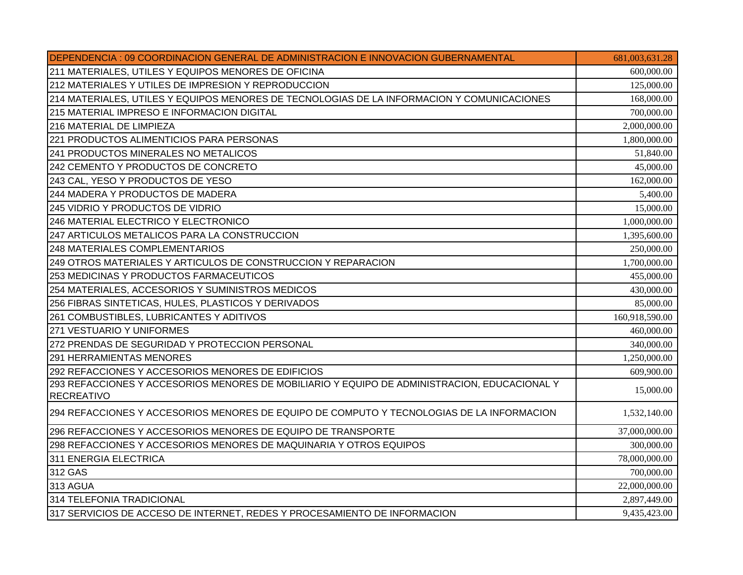| DEPENDENCIA : 09 COORDINACION GENERAL DE ADMINISTRACION E INNOVACION GUBERNAMENTAL           | 681,003,631.28 |
|----------------------------------------------------------------------------------------------|----------------|
| 211 MATERIALES, UTILES Y EQUIPOS MENORES DE OFICINA                                          | 600,000.00     |
| 212 MATERIALES Y UTILES DE IMPRESION Y REPRODUCCION                                          | 125,000.00     |
| 214 MATERIALES, UTILES Y EQUIPOS MENORES DE TECNOLOGIAS DE LA INFORMACION Y COMUNICACIONES   | 168,000.00     |
| 215 MATERIAL IMPRESO E INFORMACION DIGITAL                                                   | 700,000.00     |
| 216 MATERIAL DE LIMPIEZA                                                                     | 2,000,000.00   |
| 221 PRODUCTOS ALIMENTICIOS PARA PERSONAS                                                     | 1,800,000.00   |
| 241 PRODUCTOS MINERALES NO METALICOS                                                         | 51,840.00      |
| 242 CEMENTO Y PRODUCTOS DE CONCRETO                                                          | 45,000.00      |
| 243 CAL, YESO Y PRODUCTOS DE YESO                                                            | 162,000.00     |
| 244 MADERA Y PRODUCTOS DE MADERA                                                             | 5,400.00       |
| 245 VIDRIO Y PRODUCTOS DE VIDRIO                                                             | 15,000.00      |
| 246 MATERIAL ELECTRICO Y ELECTRONICO                                                         | 1,000,000.00   |
| 247 ARTICULOS METALICOS PARA LA CONSTRUCCION                                                 | 1,395,600.00   |
| 248 MATERIALES COMPLEMENTARIOS                                                               | 250,000.00     |
| 249 OTROS MATERIALES Y ARTICULOS DE CONSTRUCCION Y REPARACION                                | 1,700,000.00   |
| 253 MEDICINAS Y PRODUCTOS FARMACEUTICOS                                                      | 455,000.00     |
| 254 MATERIALES, ACCESORIOS Y SUMINISTROS MEDICOS                                             | 430,000.00     |
| 256 FIBRAS SINTETICAS, HULES, PLASTICOS Y DERIVADOS                                          | 85,000.00      |
| 261 COMBUSTIBLES, LUBRICANTES Y ADITIVOS                                                     | 160,918,590.00 |
| 271 VESTUARIO Y UNIFORMES                                                                    | 460,000.00     |
| 272 PRENDAS DE SEGURIDAD Y PROTECCION PERSONAL                                               | 340,000.00     |
| 291 HERRAMIENTAS MENORES                                                                     | 1,250,000.00   |
| 292 REFACCIONES Y ACCESORIOS MENORES DE EDIFICIOS                                            | 609,900.00     |
| 293 REFACCIONES Y ACCESORIOS MENORES DE MOBILIARIO Y EQUIPO DE ADMINISTRACION, EDUCACIONAL Y | 15,000.00      |
| <b>RECREATIVO</b>                                                                            |                |
| 294 REFACCIONES Y ACCESORIOS MENORES DE EQUIPO DE COMPUTO Y TECNOLOGIAS DE LA INFORMACION    | 1,532,140.00   |
| 296 REFACCIONES Y ACCESORIOS MENORES DE EQUIPO DE TRANSPORTE                                 | 37,000,000.00  |
| 298 REFACCIONES Y ACCESORIOS MENORES DE MAQUINARIA Y OTROS EQUIPOS                           | 300,000.00     |
| 311 ENERGIA ELECTRICA                                                                        | 78,000,000.00  |
| 312 GAS                                                                                      | 700,000.00     |
| 313 AGUA                                                                                     | 22,000,000.00  |
| 314 TELEFONIA TRADICIONAL                                                                    | 2,897,449.00   |
| 317 SERVICIOS DE ACCESO DE INTERNET, REDES Y PROCESAMIENTO DE INFORMACION                    | 9,435,423.00   |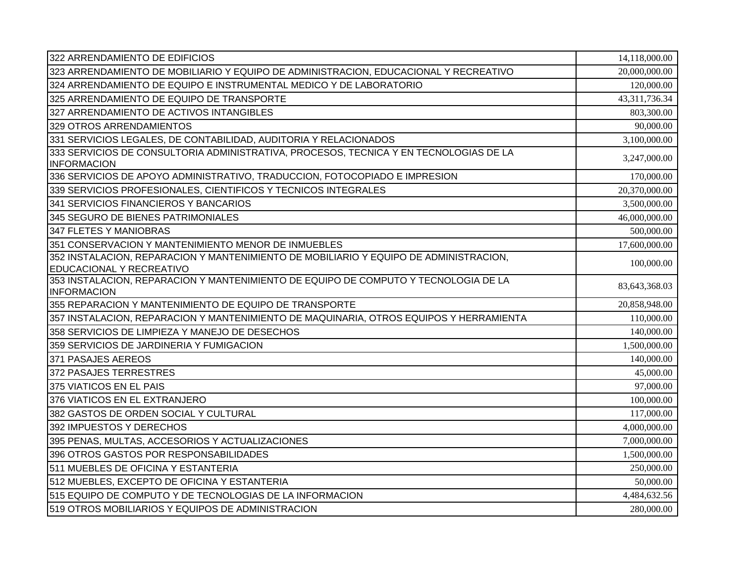| 322 ARRENDAMIENTO DE EDIFICIOS                                                                                    | 14,118,000.00 |
|-------------------------------------------------------------------------------------------------------------------|---------------|
| 323 ARRENDAMIENTO DE MOBILIARIO Y EQUIPO DE ADMINISTRACION, EDUCACIONAL Y RECREATIVO                              | 20,000,000.00 |
| 324 ARRENDAMIENTO DE EQUIPO E INSTRUMENTAL MEDICO Y DE LABORATORIO                                                | 120,000.00    |
| 325 ARRENDAMIENTO DE EQUIPO DE TRANSPORTE                                                                         | 43,311,736.34 |
| 327 ARRENDAMIENTO DE ACTIVOS INTANGIBLES                                                                          | 803,300.00    |
| 329 OTROS ARRENDAMIENTOS                                                                                          | 90,000.00     |
| 331 SERVICIOS LEGALES, DE CONTABILIDAD, AUDITORIA Y RELACIONADOS                                                  | 3,100,000.00  |
| 333 SERVICIOS DE CONSULTORIA ADMINISTRATIVA, PROCESOS, TECNICA Y EN TECNOLOGIAS DE LA<br><b>INFORMACION</b>       | 3,247,000.00  |
| 336 SERVICIOS DE APOYO ADMINISTRATIVO, TRADUCCION, FOTOCOPIADO E IMPRESION                                        | 170,000.00    |
| 339 SERVICIOS PROFESIONALES, CIENTIFICOS Y TECNICOS INTEGRALES                                                    | 20,370,000.00 |
| 341 SERVICIOS FINANCIEROS Y BANCARIOS                                                                             | 3,500,000.00  |
| 345 SEGURO DE BIENES PATRIMONIALES                                                                                | 46,000,000.00 |
| 347 FLETES Y MANIOBRAS                                                                                            | 500,000.00    |
| 351 CONSERVACION Y MANTENIMIENTO MENOR DE INMUEBLES                                                               | 17,600,000.00 |
| 352 INSTALACION, REPARACION Y MANTENIMIENTO DE MOBILIARIO Y EQUIPO DE ADMINISTRACION,<br>EDUCACIONAL Y RECREATIVO | 100,000.00    |
| 353 INSTALACION, REPARACION Y MANTENIMIENTO DE EQUIPO DE COMPUTO Y TECNOLOGIA DE LA<br><b>INFORMACION</b>         | 83,643,368.03 |
| 355 REPARACION Y MANTENIMIENTO DE EQUIPO DE TRANSPORTE                                                            | 20,858,948.00 |
| 357 INSTALACION, REPARACION Y MANTENIMIENTO DE MAQUINARIA, OTROS EQUIPOS Y HERRAMIENTA                            | 110,000.00    |
| 358 SERVICIOS DE LIMPIEZA Y MANEJO DE DESECHOS                                                                    | 140,000.00    |
| 359 SERVICIOS DE JARDINERIA Y FUMIGACION                                                                          | 1,500,000.00  |
| 371 PASAJES AEREOS                                                                                                | 140,000.00    |
| 372 PASAJES TERRESTRES                                                                                            | 45,000.00     |
| 375 VIATICOS EN EL PAIS                                                                                           | 97,000.00     |
| 376 VIATICOS EN EL EXTRANJERO                                                                                     | 100,000.00    |
| 382 GASTOS DE ORDEN SOCIAL Y CULTURAL                                                                             | 117,000.00    |
| 392 IMPUESTOS Y DERECHOS                                                                                          | 4,000,000.00  |
| 395 PENAS, MULTAS, ACCESORIOS Y ACTUALIZACIONES                                                                   | 7,000,000.00  |
| 396 OTROS GASTOS POR RESPONSABILIDADES                                                                            | 1,500,000.00  |
| 511 MUEBLES DE OFICINA Y ESTANTERIA                                                                               | 250,000.00    |
| 512 MUEBLES, EXCEPTO DE OFICINA Y ESTANTERIA                                                                      | 50,000.00     |
| 515 EQUIPO DE COMPUTO Y DE TECNOLOGIAS DE LA INFORMACION                                                          | 4,484,632.56  |
| 519 OTROS MOBILIARIOS Y EQUIPOS DE ADMINISTRACION                                                                 | 280,000.00    |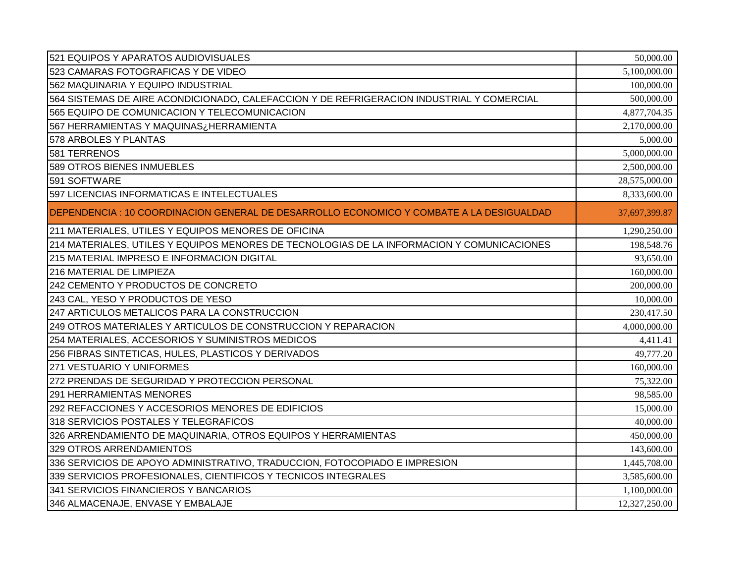| 521 EQUIPOS Y APARATOS AUDIOVISUALES                                                       | 50,000.00     |
|--------------------------------------------------------------------------------------------|---------------|
| 523 CAMARAS FOTOGRAFICAS Y DE VIDEO                                                        | 5,100,000.00  |
| 562 MAQUINARIA Y EQUIPO INDUSTRIAL                                                         | 100,000.00    |
| 564 SISTEMAS DE AIRE ACONDICIONADO, CALEFACCION Y DE REFRIGERACION INDUSTRIAL Y COMERCIAL  | 500,000.00    |
| 565 EQUIPO DE COMUNICACION Y TELECOMUNICACION                                              | 4,877,704.35  |
| HERRAMIENTAS Y MAQUINASزHERRAMIENTA ا567 I                                                 | 2,170,000.00  |
| 578 ARBOLES Y PLANTAS                                                                      | 5,000.00      |
| 581 TERRENOS                                                                               | 5,000,000.00  |
| 589 OTROS BIENES INMUEBLES                                                                 | 2,500,000.00  |
| 591 SOFTWARE                                                                               | 28,575,000.00 |
| 597 LICENCIAS INFORMATICAS E INTELECTUALES                                                 | 8,333,600.00  |
| DEPENDENCIA : 10 COORDINACION GENERAL DE DESARROLLO ECONOMICO Y COMBATE A LA DESIGUALDAD   | 37,697,399.87 |
| 211 MATERIALES, UTILES Y EQUIPOS MENORES DE OFICINA                                        | 1,290,250.00  |
| 214 MATERIALES, UTILES Y EQUIPOS MENORES DE TECNOLOGIAS DE LA INFORMACION Y COMUNICACIONES | 198,548.76    |
| 215 MATERIAL IMPRESO E INFORMACION DIGITAL                                                 | 93,650.00     |
| 216 MATERIAL DE LIMPIEZA                                                                   | 160,000.00    |
| 242 CEMENTO Y PRODUCTOS DE CONCRETO                                                        | 200,000.00    |
| 243 CAL, YESO Y PRODUCTOS DE YESO                                                          | 10,000.00     |
| 247 ARTICULOS METALICOS PARA LA CONSTRUCCION                                               | 230,417.50    |
| 249 OTROS MATERIALES Y ARTICULOS DE CONSTRUCCION Y REPARACION                              | 4,000,000.00  |
| 254 MATERIALES, ACCESORIOS Y SUMINISTROS MEDICOS                                           | 4,411.41      |
| 256 FIBRAS SINTETICAS, HULES, PLASTICOS Y DERIVADOS                                        | 49,777.20     |
| 271 VESTUARIO Y UNIFORMES                                                                  | 160,000.00    |
| 272 PRENDAS DE SEGURIDAD Y PROTECCION PERSONAL                                             | 75,322.00     |
| 291 HERRAMIENTAS MENORES                                                                   | 98,585.00     |
| 292 REFACCIONES Y ACCESORIOS MENORES DE EDIFICIOS                                          | 15,000.00     |
| 318 SERVICIOS POSTALES Y TELEGRAFICOS                                                      | 40,000.00     |
| 326 ARRENDAMIENTO DE MAQUINARIA, OTROS EQUIPOS Y HERRAMIENTAS                              | 450,000.00    |
| 329 OTROS ARRENDAMIENTOS                                                                   | 143,600.00    |
| 336 SERVICIOS DE APOYO ADMINISTRATIVO, TRADUCCION, FOTOCOPIADO E IMPRESION                 | 1,445,708.00  |
| 339 SERVICIOS PROFESIONALES, CIENTIFICOS Y TECNICOS INTEGRALES                             | 3,585,600.00  |
| 341 SERVICIOS FINANCIEROS Y BANCARIOS                                                      | 1,100,000.00  |
| 346 ALMACENAJE, ENVASE Y EMBALAJE                                                          | 12,327,250.00 |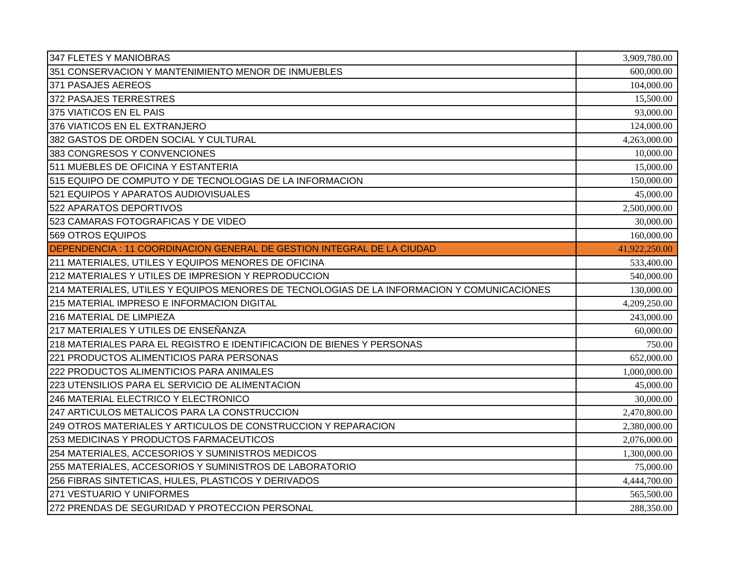| 347 FLETES Y MANIOBRAS                                                                     | 3,909,780.00  |
|--------------------------------------------------------------------------------------------|---------------|
| 351 CONSERVACION Y MANTENIMIENTO MENOR DE INMUEBLES                                        | 600,000.00    |
| 371 PASAJES AEREOS                                                                         | 104,000.00    |
| 372 PASAJES TERRESTRES                                                                     | 15,500.00     |
| 375 VIATICOS EN EL PAIS                                                                    | 93,000.00     |
| 376 VIATICOS EN EL EXTRANJERO                                                              | 124,000.00    |
| 382 GASTOS DE ORDEN SOCIAL Y CULTURAL                                                      | 4,263,000.00  |
| 383 CONGRESOS Y CONVENCIONES                                                               | 10,000.00     |
| 511 MUEBLES DE OFICINA Y ESTANTERIA                                                        | 15,000.00     |
| 515 EQUIPO DE COMPUTO Y DE TECNOLOGIAS DE LA INFORMACION                                   | 150,000.00    |
| 521 EQUIPOS Y APARATOS AUDIOVISUALES                                                       | 45,000.00     |
| 522 APARATOS DEPORTIVOS                                                                    | 2,500,000.00  |
| 523 CAMARAS FOTOGRAFICAS Y DE VIDEO                                                        | 30,000.00     |
| 569 OTROS EQUIPOS                                                                          | 160,000.00    |
| DEPENDENCIA : 11 COORDINACION GENERAL DE GESTION INTEGRAL DE LA CIUDAD                     | 41,922,250.00 |
| 211 MATERIALES, UTILES Y EQUIPOS MENORES DE OFICINA                                        | 533,400.00    |
| 212 MATERIALES Y UTILES DE IMPRESION Y REPRODUCCION                                        | 540,000.00    |
| 214 MATERIALES, UTILES Y EQUIPOS MENORES DE TECNOLOGIAS DE LA INFORMACION Y COMUNICACIONES | 130,000.00    |
| 215 MATERIAL IMPRESO E INFORMACION DIGITAL                                                 | 4,209,250.00  |
| 216 MATERIAL DE LIMPIEZA                                                                   | 243,000.00    |
| 217 MATERIALES Y UTILES DE ENSEÑANZA                                                       | 60,000.00     |
| 218 MATERIALES PARA EL REGISTRO E IDENTIFICACION DE BIENES Y PERSONAS                      | 750.00        |
| 221 PRODUCTOS ALIMENTICIOS PARA PERSONAS                                                   | 652,000.00    |
| 222 PRODUCTOS ALIMENTICIOS PARA ANIMALES                                                   | 1,000,000.00  |
| 223 UTENSILIOS PARA EL SERVICIO DE ALIMENTACION                                            | 45,000.00     |
| 246 MATERIAL ELECTRICO Y ELECTRONICO                                                       | 30,000.00     |
| 247 ARTICULOS METALICOS PARA LA CONSTRUCCION                                               | 2,470,800.00  |
| 249 OTROS MATERIALES Y ARTICULOS DE CONSTRUCCION Y REPARACION                              | 2,380,000.00  |
| 253 MEDICINAS Y PRODUCTOS FARMACEUTICOS                                                    | 2,076,000.00  |
| 254 MATERIALES, ACCESORIOS Y SUMINISTROS MEDICOS                                           | 1,300,000.00  |
| 255 MATERIALES, ACCESORIOS Y SUMINISTROS DE LABORATORIO                                    | 75,000.00     |
| 256 FIBRAS SINTETICAS, HULES, PLASTICOS Y DERIVADOS                                        | 4,444,700.00  |
| 271 VESTUARIO Y UNIFORMES                                                                  | 565,500.00    |
| 272 PRENDAS DE SEGURIDAD Y PROTECCION PERSONAL                                             | 288,350.00    |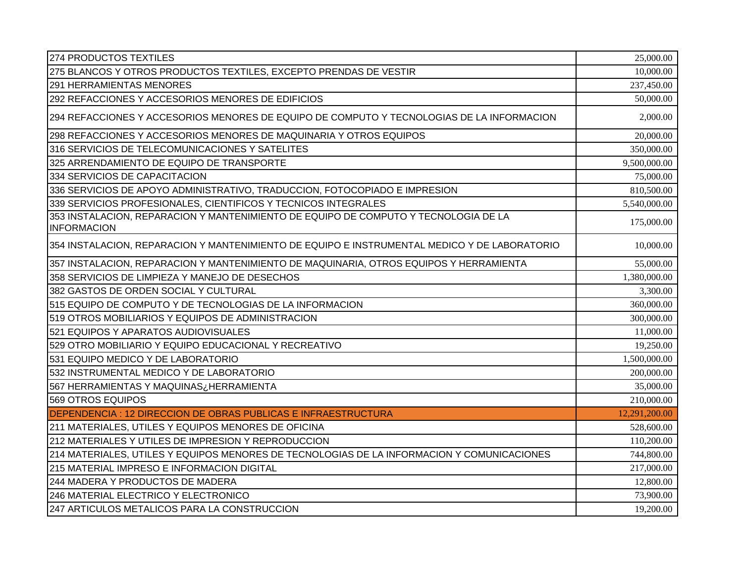| 274 PRODUCTOS TEXTILES                                                                                    | 25,000.00     |
|-----------------------------------------------------------------------------------------------------------|---------------|
| 275 BLANCOS Y OTROS PRODUCTOS TEXTILES, EXCEPTO PRENDAS DE VESTIR                                         | 10,000.00     |
| <b>291 HERRAMIENTAS MENORES</b>                                                                           | 237,450.00    |
| 292 REFACCIONES Y ACCESORIOS MENORES DE EDIFICIOS                                                         | 50,000.00     |
| 294 REFACCIONES Y ACCESORIOS MENORES DE EQUIPO DE COMPUTO Y TECNOLOGIAS DE LA INFORMACION                 | 2,000.00      |
| 298 REFACCIONES Y ACCESORIOS MENORES DE MAQUINARIA Y OTROS EQUIPOS                                        | 20,000.00     |
| 316 SERVICIOS DE TELECOMUNICACIONES Y SATELITES                                                           | 350,000.00    |
| 325 ARRENDAMIENTO DE EQUIPO DE TRANSPORTE                                                                 | 9,500,000.00  |
| 334 SERVICIOS DE CAPACITACION                                                                             | 75,000.00     |
| 336 SERVICIOS DE APOYO ADMINISTRATIVO, TRADUCCION, FOTOCOPIADO E IMPRESION                                | 810,500.00    |
| 339 SERVICIOS PROFESIONALES, CIENTIFICOS Y TECNICOS INTEGRALES                                            | 5,540,000.00  |
| 353 INSTALACION, REPARACION Y MANTENIMIENTO DE EQUIPO DE COMPUTO Y TECNOLOGIA DE LA<br><b>INFORMACION</b> | 175,000.00    |
| 354 INSTALACION, REPARACION Y MANTENIMIENTO DE EQUIPO E INSTRUMENTAL MEDICO Y DE LABORATORIO              | 10,000.00     |
| 357 INSTALACION, REPARACION Y MANTENIMIENTO DE MAQUINARIA, OTROS EQUIPOS Y HERRAMIENTA                    | 55,000.00     |
| 358 SERVICIOS DE LIMPIEZA Y MANEJO DE DESECHOS                                                            | 1,380,000.00  |
| 382 GASTOS DE ORDEN SOCIAL Y CULTURAL                                                                     | 3,300.00      |
| 515 EQUIPO DE COMPUTO Y DE TECNOLOGIAS DE LA INFORMACION                                                  | 360,000.00    |
| 519 OTROS MOBILIARIOS Y EQUIPOS DE ADMINISTRACION                                                         | 300,000.00    |
| 521 EQUIPOS Y APARATOS AUDIOVISUALES                                                                      | 11,000.00     |
| 529 OTRO MOBILIARIO Y EQUIPO EDUCACIONAL Y RECREATIVO                                                     | 19,250.00     |
| 531 EQUIPO MEDICO Y DE LABORATORIO                                                                        | 1,500,000.00  |
| 532 INSTRUMENTAL MEDICO Y DE LABORATORIO                                                                  | 200,000.00    |
| HERRAMIENTAS Y MAQUINASزHERRAMIENTA اع                                                                    | 35,000.00     |
| 569 OTROS EQUIPOS                                                                                         | 210,000.00    |
| DEPENDENCIA : 12 DIRECCION DE OBRAS PUBLICAS E INFRAESTRUCTURA                                            | 12,291,200.00 |
| 211 MATERIALES, UTILES Y EQUIPOS MENORES DE OFICINA                                                       | 528,600.00    |
| 212 MATERIALES Y UTILES DE IMPRESION Y REPRODUCCION                                                       | 110,200.00    |
| 214 MATERIALES, UTILES Y EQUIPOS MENORES DE TECNOLOGIAS DE LA INFORMACION Y COMUNICACIONES                | 744,800.00    |
| 215 MATERIAL IMPRESO E INFORMACION DIGITAL                                                                | 217,000.00    |
| 244 MADERA Y PRODUCTOS DE MADERA                                                                          | 12,800.00     |
| 246 MATERIAL ELECTRICO Y ELECTRONICO                                                                      | 73,900.00     |
| 247 ARTICULOS METALICOS PARA LA CONSTRUCCION                                                              | 19,200.00     |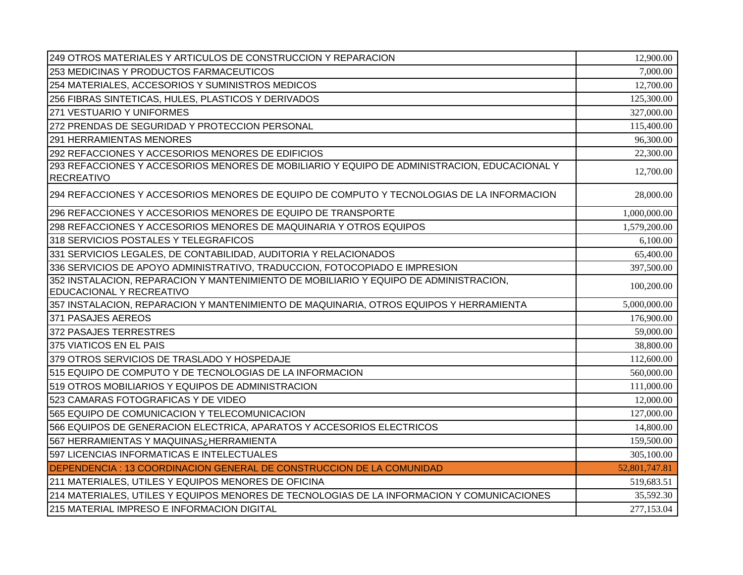| 249 OTROS MATERIALES Y ARTICULOS DE CONSTRUCCION Y REPARACION                                                     | 12,900.00     |
|-------------------------------------------------------------------------------------------------------------------|---------------|
| 253 MEDICINAS Y PRODUCTOS FARMACEUTICOS                                                                           | 7,000.00      |
| 254 MATERIALES, ACCESORIOS Y SUMINISTROS MEDICOS                                                                  | 12,700.00     |
| 256 FIBRAS SINTETICAS, HULES, PLASTICOS Y DERIVADOS                                                               | 125,300.00    |
| 271 VESTUARIO Y UNIFORMES                                                                                         | 327,000.00    |
| 272 PRENDAS DE SEGURIDAD Y PROTECCION PERSONAL                                                                    | 115,400.00    |
| <b>291 HERRAMIENTAS MENORES</b>                                                                                   | 96,300.00     |
| 292 REFACCIONES Y ACCESORIOS MENORES DE EDIFICIOS                                                                 | 22,300.00     |
| 293 REFACCIONES Y ACCESORIOS MENORES DE MOBILIARIO Y EQUIPO DE ADMINISTRACION, EDUCACIONAL Y<br><b>RECREATIVO</b> | 12,700.00     |
| 294 REFACCIONES Y ACCESORIOS MENORES DE EQUIPO DE COMPUTO Y TECNOLOGIAS DE LA INFORMACION                         | 28,000.00     |
| 296 REFACCIONES Y ACCESORIOS MENORES DE EQUIPO DE TRANSPORTE                                                      | 1,000,000.00  |
| 298 REFACCIONES Y ACCESORIOS MENORES DE MAQUINARIA Y OTROS EQUIPOS                                                | 1,579,200.00  |
| 318 SERVICIOS POSTALES Y TELEGRAFICOS                                                                             | 6,100.00      |
| 331 SERVICIOS LEGALES, DE CONTABILIDAD, AUDITORIA Y RELACIONADOS                                                  | 65,400.00     |
| 336 SERVICIOS DE APOYO ADMINISTRATIVO, TRADUCCION, FOTOCOPIADO E IMPRESION                                        | 397,500.00    |
| 352 INSTALACION, REPARACION Y MANTENIMIENTO DE MOBILIARIO Y EQUIPO DE ADMINISTRACION,                             | 100,200.00    |
| EDUCACIONAL Y RECREATIVO                                                                                          |               |
| 357 INSTALACION, REPARACION Y MANTENIMIENTO DE MAQUINARIA, OTROS EQUIPOS Y HERRAMIENTA                            | 5,000,000.00  |
| 371 PASAJES AEREOS                                                                                                | 176,900.00    |
| 372 PASAJES TERRESTRES                                                                                            | 59,000.00     |
| 375 VIATICOS EN EL PAIS                                                                                           | 38,800.00     |
| 379 OTROS SERVICIOS DE TRASLADO Y HOSPEDAJE                                                                       | 112,600.00    |
| 515 EQUIPO DE COMPUTO Y DE TECNOLOGIAS DE LA INFORMACION                                                          | 560,000.00    |
| 519 OTROS MOBILIARIOS Y EQUIPOS DE ADMINISTRACION                                                                 | 111,000.00    |
| 523 CAMARAS FOTOGRAFICAS Y DE VIDEO                                                                               | 12,000.00     |
| 565 EQUIPO DE COMUNICACION Y TELECOMUNICACION                                                                     | 127,000.00    |
| 566 EQUIPOS DE GENERACION ELECTRICA, APARATOS Y ACCESORIOS ELECTRICOS                                             | 14,800.00     |
| 567 HERRAMIENTAS Y MAQUINAS¿HERRAMIENTA                                                                           | 159,500.00    |
| 597 LICENCIAS INFORMATICAS E INTELECTUALES                                                                        | 305,100.00    |
| DEPENDENCIA : 13 COORDINACION GENERAL DE CONSTRUCCION DE LA COMUNIDAD                                             | 52,801,747.81 |
| 211 MATERIALES, UTILES Y EQUIPOS MENORES DE OFICINA                                                               | 519,683.51    |
| 214 MATERIALES, UTILES Y EQUIPOS MENORES DE TECNOLOGIAS DE LA INFORMACION Y COMUNICACIONES                        | 35,592.30     |
| 215 MATERIAL IMPRESO E INFORMACION DIGITAL                                                                        | 277,153.04    |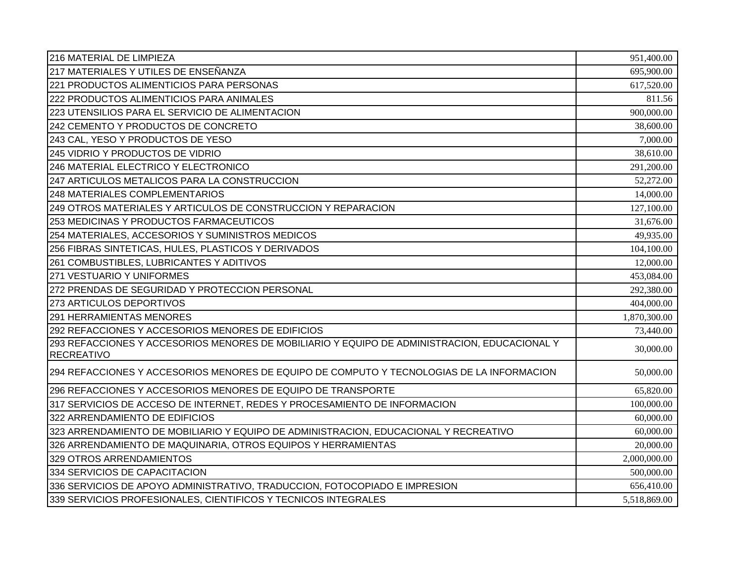| 216 MATERIAL DE LIMPIEZA                                                                                          | 951,400.00   |
|-------------------------------------------------------------------------------------------------------------------|--------------|
| 217 MATERIALES Y UTILES DE ENSEÑANZA                                                                              | 695,900.00   |
| 221 PRODUCTOS ALIMENTICIOS PARA PERSONAS                                                                          | 617,520.00   |
| 222 PRODUCTOS ALIMENTICIOS PARA ANIMALES                                                                          | 811.56       |
| 223 UTENSILIOS PARA EL SERVICIO DE ALIMENTACION                                                                   | 900,000.00   |
| 242 CEMENTO Y PRODUCTOS DE CONCRETO                                                                               | 38,600.00    |
| 243 CAL, YESO Y PRODUCTOS DE YESO                                                                                 | 7,000.00     |
| 245 VIDRIO Y PRODUCTOS DE VIDRIO                                                                                  | 38,610.00    |
| 246 MATERIAL ELECTRICO Y ELECTRONICO                                                                              | 291,200.00   |
| 247 ARTICULOS METALICOS PARA LA CONSTRUCCION                                                                      | 52,272.00    |
| <b>248 MATERIALES COMPLEMENTARIOS</b>                                                                             | 14,000.00    |
| 249 OTROS MATERIALES Y ARTICULOS DE CONSTRUCCION Y REPARACION                                                     | 127,100.00   |
| 253 MEDICINAS Y PRODUCTOS FARMACEUTICOS                                                                           | 31,676.00    |
| 254 MATERIALES, ACCESORIOS Y SUMINISTROS MEDICOS                                                                  | 49,935.00    |
| 256 FIBRAS SINTETICAS, HULES, PLASTICOS Y DERIVADOS                                                               | 104,100.00   |
| 261 COMBUSTIBLES, LUBRICANTES Y ADITIVOS                                                                          | 12,000.00    |
| 271 VESTUARIO Y UNIFORMES                                                                                         | 453,084.00   |
| 272 PRENDAS DE SEGURIDAD Y PROTECCION PERSONAL                                                                    | 292,380.00   |
| 273 ARTICULOS DEPORTIVOS                                                                                          | 404,000.00   |
| <b>291 HERRAMIENTAS MENORES</b>                                                                                   | 1,870,300.00 |
| 292 REFACCIONES Y ACCESORIOS MENORES DE EDIFICIOS                                                                 | 73,440.00    |
| 293 REFACCIONES Y ACCESORIOS MENORES DE MOBILIARIO Y EQUIPO DE ADMINISTRACION, EDUCACIONAL Y<br><b>RECREATIVO</b> | 30,000.00    |
| 294 REFACCIONES Y ACCESORIOS MENORES DE EQUIPO DE COMPUTO Y TECNOLOGIAS DE LA INFORMACION                         | 50,000.00    |
| 296 REFACCIONES Y ACCESORIOS MENORES DE EQUIPO DE TRANSPORTE                                                      | 65,820.00    |
| 317 SERVICIOS DE ACCESO DE INTERNET, REDES Y PROCESAMIENTO DE INFORMACION                                         | 100,000.00   |
| 322 ARRENDAMIENTO DE EDIFICIOS                                                                                    | 60,000.00    |
| 323 ARRENDAMIENTO DE MOBILIARIO Y EQUIPO DE ADMINISTRACION, EDUCACIONAL Y RECREATIVO                              | 60,000.00    |
| 326 ARRENDAMIENTO DE MAQUINARIA, OTROS EQUIPOS Y HERRAMIENTAS                                                     | 20,000.00    |
| 329 OTROS ARRENDAMIENTOS                                                                                          | 2,000,000.00 |
| 334 SERVICIOS DE CAPACITACION                                                                                     | 500,000.00   |
| 336 SERVICIOS DE APOYO ADMINISTRATIVO, TRADUCCION, FOTOCOPIADO E IMPRESION                                        | 656,410.00   |
| 339 SERVICIOS PROFESIONALES, CIENTIFICOS Y TECNICOS INTEGRALES                                                    | 5,518,869.00 |